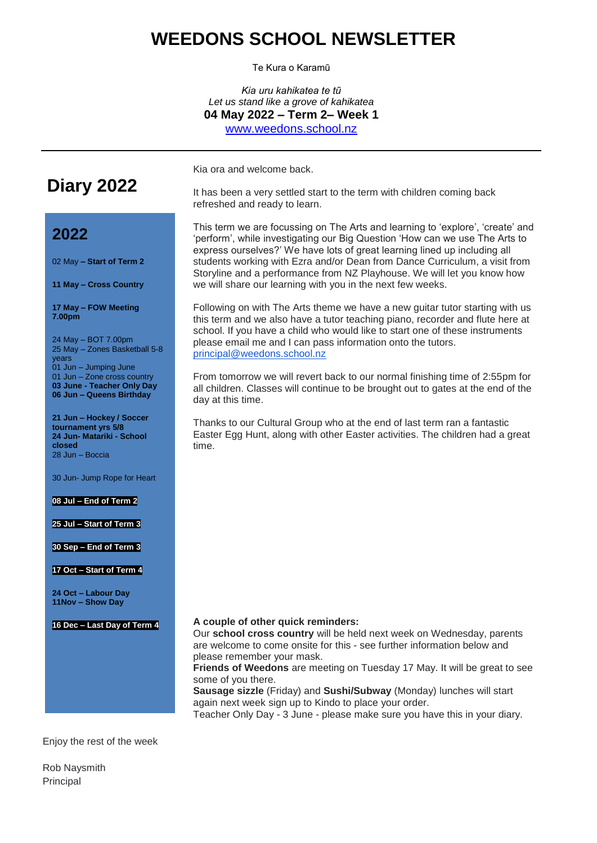## **WEEDONS SCHOOL NEWSLETTER**

Te Kura o Karamū

*Kia uru kahikatea te tũ Let us stand like a grove of kahikatea* **04 May 2022 – Term 2– Week 1** [www.weedons.school.nz](http://www.weedons.school.nz/)

**Diary 2022**

Kia ora and welcome back.

It has been a very settled start to the term with children coming back refreshed and ready to learn.

# **2022**

02 May **– Start of Term 2**

**11 May – Cross Country**

**17 May – FOW Meeting 7.00pm**

24 May – BOT 7.00pm 25 May – Zones Basketball 5-8 years 01 Jun – Jumping June 01 Jun – Zone cross country **03 June - Teacher Only Day 06 Jun – Queens Birthday**

**21 Jun – Hockey / Soccer tournament yrs 5/8 24 Jun- Matariki - School closed** 28 Jun – Boccia

30 Jun- Jump Rope for Heart

### **08 Jul – End of Term 2**

**25 Jul – Start of Term 3**

**30 Sep – End of Term 3**

#### **17 Oct – Start of Term 4**

**24 Oct – Labour Day 11Nov – Show Day**

**16 Dec – Last Day of Term 4**

This term we are focussing on The Arts and learning to 'explore', 'create' and 'perform', while investigating our Big Question 'How can we use The Arts to express ourselves?' We have lots of great learning lined up including all students working with Ezra and/or Dean from Dance Curriculum, a visit from Storyline and a performance from NZ Playhouse. We will let you know how we will share our learning with you in the next few weeks.

Following on with The Arts theme we have a new guitar tutor starting with us this term and we also have a tutor teaching piano, recorder and flute here at school. If you have a child who would like to start one of these instruments please email me and I can pass information onto the tutors. [principal@weedons.school.nz](mailto:principal@weedons.school.nz)

From tomorrow we will revert back to our normal finishing time of 2:55pm for all children. Classes will continue to be brought out to gates at the end of the day at this time.

Thanks to our Cultural Group who at the end of last term ran a fantastic Easter Egg Hunt, along with other Easter activities. The children had a great time.

### **A couple of other quick reminders:**

Our **school cross country** will be held next week on Wednesday, parents are welcome to come onsite for this - see further information below and please remember your mask.

**Friends of Weedons** are meeting on Tuesday 17 May. It will be great to see some of you there.

**Sausage sizzle** (Friday) and **Sushi/Subway** (Monday) lunches will start again next week sign up to Kindo to place your order.

Teacher Only Day - 3 June - please make sure you have this in your diary.

Enjoy the rest of the week

Rob Naysmith Principal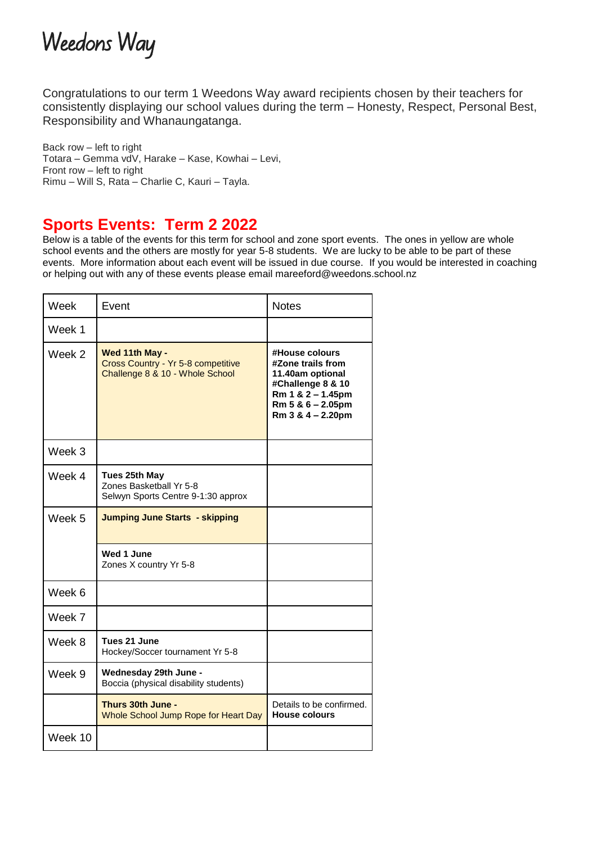

Congratulations to our term 1 Weedons Way award recipients chosen by their teachers for consistently displaying our school values during the term – Honesty, Respect, Personal Best, Responsibility and Whanaungatanga.

Back row – left to right Totara – Gemma vdV, Harake – Kase, Kowhai – Levi, Front row – left to right Rimu – Will S, Rata – Charlie C, Kauri – Tayla.

## **Sports Events: Term 2 2022**

Below is a table of the events for this term for school and zone sport events. The ones in yellow are whole school events and the others are mostly for year 5-8 students. We are lucky to be able to be part of these events. More information about each event will be issued in due course. If you would be interested in coaching or helping out with any of these events please email mareeford@weedons.school.nz

| Week    | Event                                                                                   | <b>Notes</b>                                                                                                                                |
|---------|-----------------------------------------------------------------------------------------|---------------------------------------------------------------------------------------------------------------------------------------------|
| Week 1  |                                                                                         |                                                                                                                                             |
| Week 2  | Wed 11th May -<br>Cross Country - Yr 5-8 competitive<br>Challenge 8 & 10 - Whole School | #House colours<br>#Zone trails from<br>11.40am optional<br>#Challenge 8 & 10<br>Rm 1 & 2 - 1.45pm<br>Rm 5 & 6 - 2.05pm<br>Rm 3 & 4 - 2.20pm |
| Week 3  |                                                                                         |                                                                                                                                             |
| Week 4  | Tues 25th May<br>Zones Basketball Yr 5-8<br>Selwyn Sports Centre 9-1:30 approx          |                                                                                                                                             |
| Week 5  | <b>Jumping June Starts - skipping</b>                                                   |                                                                                                                                             |
|         | Wed 1 June<br>Zones X country Yr 5-8                                                    |                                                                                                                                             |
| Week 6  |                                                                                         |                                                                                                                                             |
| Week 7  |                                                                                         |                                                                                                                                             |
| Week 8  | Tues 21 June<br>Hockey/Soccer tournament Yr 5-8                                         |                                                                                                                                             |
| Week 9  | Wednesday 29th June -<br>Boccia (physical disability students)                          |                                                                                                                                             |
|         | Thurs 30th June -<br>Whole School Jump Rope for Heart Day                               | Details to be confirmed.<br><b>House colours</b>                                                                                            |
| Week 10 |                                                                                         |                                                                                                                                             |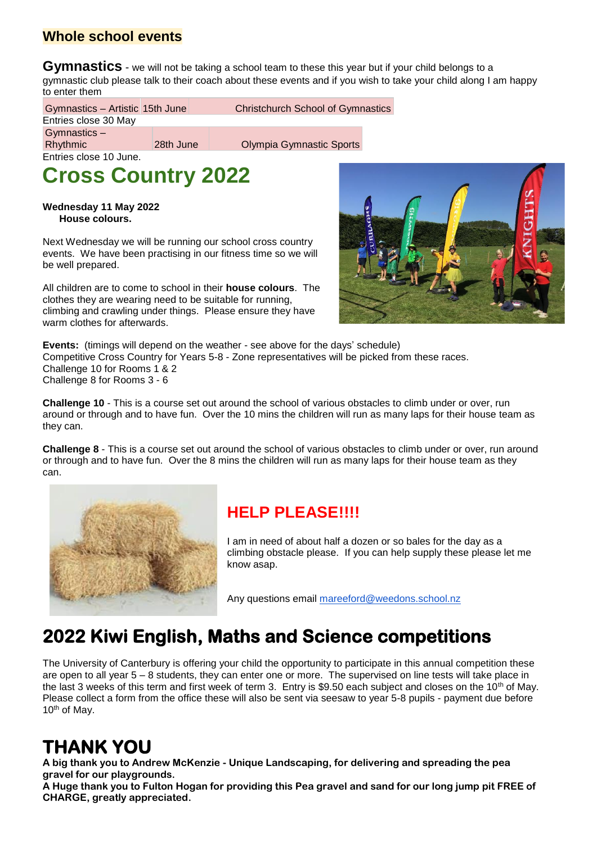## **Whole school events**

**Gymnastics** - we will not be taking a school team to these this year but if your child belongs to a gymnastic club please talk to their coach about these events and if you wish to take your child along I am happy to enter them

Gymnastics – Artistic 15th June Christchurch School of Gymnastics Entries close 30 May Gymnastics – Rhythmic 28th June Olympia Gymnastic Sports Entries close 10 June.

# **Cross Country 2022**

**Wednesday 11 May 2022 House colours.**

Next Wednesday we will be running our school cross country events. We have been practising in our fitness time so we will be well prepared.

All children are to come to school in their **house colours**. The clothes they are wearing need to be suitable for running, climbing and crawling under things. Please ensure they have warm clothes for afterwards.



**Events:** (timings will depend on the weather - see above for the days' schedule) Competitive Cross Country for Years 5-8 - Zone representatives will be picked from these races. Challenge 10 for Rooms 1 & 2 Challenge 8 for Rooms 3 - 6

**Challenge 10** - This is a course set out around the school of various obstacles to climb under or over, run around or through and to have fun. Over the 10 mins the children will run as many laps for their house team as they can.

**Challenge 8** - This is a course set out around the school of various obstacles to climb under or over, run around or through and to have fun. Over the 8 mins the children will run as many laps for their house team as they can.



## **HELP PLEASE!!!!**

I am in need of about half a dozen or so bales for the day as a climbing obstacle please. If you can help supply these please let me know asap.

Any questions email [mareeford@weedons.school.nz](mailto:mareeford@weedons.school.nz)

# **2022 Kiwi English, Maths and Science competitions**

The University of Canterbury is offering your child the opportunity to participate in this annual competition these are open to all year 5 – 8 students, they can enter one or more. The supervised on line tests will take place in the last 3 weeks of this term and first week of term 3. Entry is \$9.50 each subject and closes on the 10<sup>th</sup> of May. Please collect a form from the office these will also be sent via seesaw to year 5-8 pupils - payment due before <sup>10</sup>th of May.

# **THANK YOU**

**A big thank you to Andrew McKenzie - Unique Landscaping, for delivering and spreading the pea gravel for our playgrounds.**

**A Huge thank you to Fulton Hogan for providing this Pea gravel and sand for our long jump pit FREE of CHARGE, greatly appreciated.**